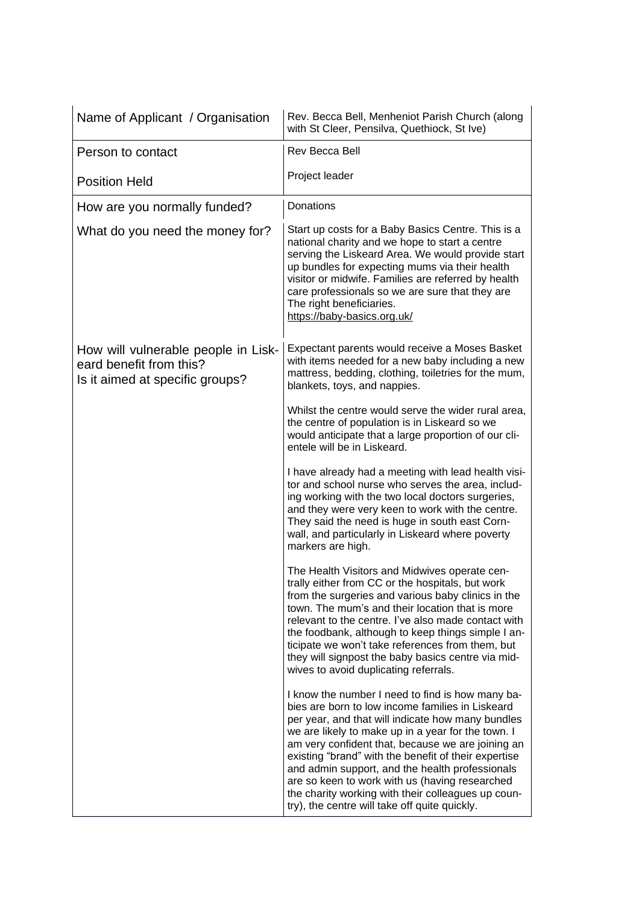| Name of Applicant / Organisation                                                                  | Rev. Becca Bell, Menheniot Parish Church (along<br>with St Cleer, Pensilva, Quethiock, St Ive)                                                                                                                                                                                                                                                                                                                                                                                                                                           |
|---------------------------------------------------------------------------------------------------|------------------------------------------------------------------------------------------------------------------------------------------------------------------------------------------------------------------------------------------------------------------------------------------------------------------------------------------------------------------------------------------------------------------------------------------------------------------------------------------------------------------------------------------|
| Person to contact                                                                                 | Rev Becca Bell                                                                                                                                                                                                                                                                                                                                                                                                                                                                                                                           |
| <b>Position Held</b>                                                                              | Project leader                                                                                                                                                                                                                                                                                                                                                                                                                                                                                                                           |
| How are you normally funded?                                                                      | Donations                                                                                                                                                                                                                                                                                                                                                                                                                                                                                                                                |
| What do you need the money for?                                                                   | Start up costs for a Baby Basics Centre. This is a<br>national charity and we hope to start a centre<br>serving the Liskeard Area. We would provide start<br>up bundles for expecting mums via their health<br>visitor or midwife. Families are referred by health<br>care professionals so we are sure that they are<br>The right beneficiaries.<br>https://baby-basics.org.uk/                                                                                                                                                         |
| How will vulnerable people in Lisk-<br>eard benefit from this?<br>Is it aimed at specific groups? | Expectant parents would receive a Moses Basket<br>with items needed for a new baby including a new<br>mattress, bedding, clothing, toiletries for the mum,<br>blankets, toys, and nappies.                                                                                                                                                                                                                                                                                                                                               |
|                                                                                                   | Whilst the centre would serve the wider rural area,<br>the centre of population is in Liskeard so we<br>would anticipate that a large proportion of our cli-<br>entele will be in Liskeard.                                                                                                                                                                                                                                                                                                                                              |
|                                                                                                   | I have already had a meeting with lead health visi-<br>tor and school nurse who serves the area, includ-<br>ing working with the two local doctors surgeries,<br>and they were very keen to work with the centre.<br>They said the need is huge in south east Corn-<br>wall, and particularly in Liskeard where poverty<br>markers are high.                                                                                                                                                                                             |
|                                                                                                   | The Health Visitors and Midwives operate cen-<br>trally either from CC or the hospitals, but work<br>from the surgeries and various baby clinics in the<br>town. The mum's and their location that is more<br>relevant to the centre. I've also made contact with<br>the foodbank, although to keep things simple I an-<br>ticipate we won't take references from them, but<br>they will signpost the baby basics centre via mid-<br>wives to avoid duplicating referrals.                                                               |
|                                                                                                   | I know the number I need to find is how many ba-<br>bies are born to low income families in Liskeard<br>per year, and that will indicate how many bundles<br>we are likely to make up in a year for the town. I<br>am very confident that, because we are joining an<br>existing "brand" with the benefit of their expertise<br>and admin support, and the health professionals<br>are so keen to work with us (having researched<br>the charity working with their colleagues up coun-<br>try), the centre will take off quite quickly. |